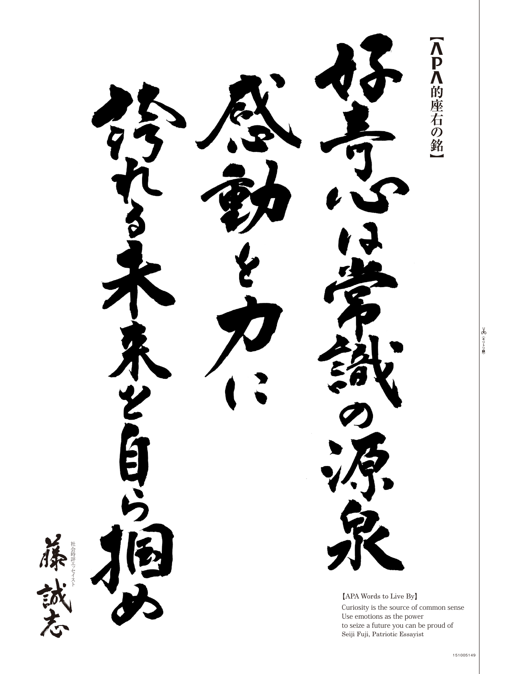APA的座右の銘 JUS. 社会時評エッ セイスト ッ 社会時評エ $[APA$  Words to Live By Curiosity is the source of common sense Use emotions as the power to seize a future you can be proud of Seiji Fuji, Patriotic Essayist